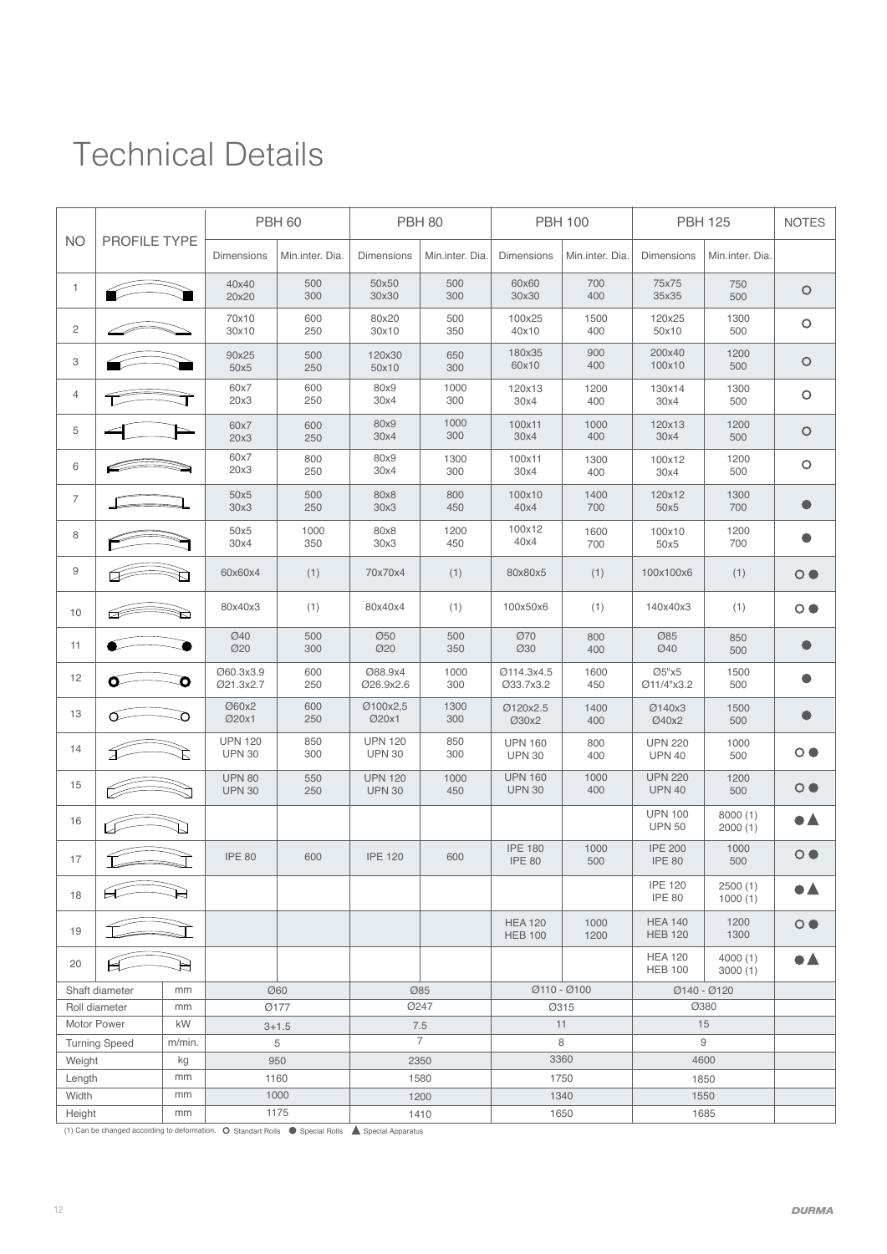## Technical Details

|                                     |                                                                                                                                                                                                                                                                                                                                                     |          | <b>PBH 60</b>                   |                 | <b>PBH 80</b>                   |                 |                                  | <b>PBH 100</b>  | <b>PBH 125</b>                   |                    | <b>NOTES</b>            |  |
|-------------------------------------|-----------------------------------------------------------------------------------------------------------------------------------------------------------------------------------------------------------------------------------------------------------------------------------------------------------------------------------------------------|----------|---------------------------------|-----------------|---------------------------------|-----------------|----------------------------------|-----------------|----------------------------------|--------------------|-------------------------|--|
| <b>NO</b>                           | <b>PROFILE TYPE</b>                                                                                                                                                                                                                                                                                                                                 |          | <b>Dimensions</b>               | Min.inter. Dia. | Dimensions                      | Min.inter. Dia. | <b>Dimensions</b>                | Min.inter. Dia. | <b>Dimensions</b>                | Min.inter. Dia.    |                         |  |
| $\mathbf{1}$                        |                                                                                                                                                                                                                                                                                                                                                     |          | 40x40<br>20x20                  | 500<br>300      | 50x50<br>30x30                  | 500<br>300      | 60x60<br>30x30                   | 700<br>400      | 75x75<br>35x35                   | 750<br>500         | O                       |  |
| $\overline{c}$                      |                                                                                                                                                                                                                                                                                                                                                     |          | 70x10<br>30x10                  | 600<br>250      | 80x20<br>30x10                  | 500<br>350      | 100x25<br>40x10                  | 1500<br>400     | 120x25<br>50x10                  | 1300<br>500        | O                       |  |
| 3                                   |                                                                                                                                                                                                                                                                                                                                                     |          | 90x25<br>50x5                   | 500<br>250      | 120x30<br>50x10                 | 650<br>300      | 180x35<br>60x10                  | 900<br>400      | 200x40<br>100x10                 | 1200<br>500        | O                       |  |
| $\overline{4}$                      |                                                                                                                                                                                                                                                                                                                                                     |          | 60x7<br>20x3                    | 600<br>250      | 80x9<br>1000<br>300<br>30x4     |                 | 120x13<br>30x4                   | 1200<br>400     | 130x14<br>30x4                   | 1300<br>500        | O                       |  |
| 5                                   |                                                                                                                                                                                                                                                                                                                                                     |          | 60x7<br>20x3                    | 600<br>250      | 1000<br>80x9<br>300<br>30x4     |                 | 100x11<br>30x4                   | 1000<br>400     | 120x13<br>30x4                   | 1200<br>500        | O                       |  |
| 6                                   |                                                                                                                                                                                                                                                                                                                                                     |          | 60x7<br>20x3                    | 800<br>250      | 80x9<br>30x4                    | 1300<br>300     | 100x11<br>30x4                   | 1300<br>400     | 100x12<br>30x4                   | 1200<br>500        | O                       |  |
| 7                                   |                                                                                                                                                                                                                                                                                                                                                     |          | 50x5<br>30x3                    | 500<br>250      | 80x8<br>30x3                    | 800<br>450      | 100x10<br>40x4                   | 1400<br>700     | 120x12<br>50x5                   | 1300<br>700        |                         |  |
| 8                                   |                                                                                                                                                                                                                                                                                                                                                     |          | 50x5<br>30x4                    | 1000<br>350     | 80x8<br>30x3                    | 1200<br>450     | 100x12<br>40x4                   | 1600<br>700     | 100x10<br>50x5                   | 1200<br>700        |                         |  |
| $\hbox{9}$                          |                                                                                                                                                                                                                                                                                                                                                     |          | 60x60x4                         | (1)             | 70x70x4                         | (1)             | 80x80x5                          | (1)             | 100x100x6                        | (1)                | $\circ\bullet$          |  |
| 10                                  |                                                                                                                                                                                                                                                                                                                                                     |          | 80x40x3                         | (1)             | 80x40x4                         | (1)             | 100x50x6                         | (1)             | 140x40x3                         | (1)                | $\circ\bullet$          |  |
| 11                                  |                                                                                                                                                                                                                                                                                                                                                     |          | Ø40<br>Ø20                      | 500<br>300      | Ø50<br>Ø20                      | 500<br>350      | <b>Ø70</b><br>Ø30                | 800<br>400      | Ø85<br><b>Ø40</b>                | 850<br>500         |                         |  |
| 12                                  |                                                                                                                                                                                                                                                                                                                                                     |          | Ø60.3x3.9<br>Ø21.3x2.7          | 600<br>250      | Ø88.9x4<br>Ø26.9x2.6            | 1000<br>300     | Ø114.3x4.5<br>Ø33.7x3.2          | 1600<br>450     | Ø5"x5<br>Ø11/4"x3.2              | 1500<br>500        | 0                       |  |
| 13                                  |                                                                                                                                                                                                                                                                                                                                                     |          | Ø60x2<br>Ø20x1                  | 600<br>250      | Ø100x2,5<br>Ø20x1               | 1300<br>300     | Ø120x2.5<br>Ø30x2                | 1400<br>400     | Ø140x3<br>Ø40x2                  | 1500<br>500        | 0                       |  |
| 14                                  |                                                                                                                                                                                                                                                                                                                                                     |          | <b>UPN 120</b><br><b>UPN 30</b> | 850<br>300      | <b>UPN 120</b><br><b>UPN 30</b> | 850<br>300      | <b>UPN 160</b><br><b>UPN 30</b>  | 800<br>400      | <b>UPN 220</b><br><b>UPN 40</b>  | 1000<br>500        | $\circ\bullet$          |  |
| 15                                  |                                                                                                                                                                                                                                                                                                                                                     |          | <b>UPN 80</b><br><b>UPN 30</b>  | 550<br>250      | <b>UPN 120</b><br><b>UPN 30</b> | 1000<br>450     | <b>UPN 160</b><br><b>UPN 30</b>  | 1000<br>400     | <b>UPN 220</b><br><b>UPN 40</b>  | 1200<br>500        | $\circ\bullet$          |  |
| 16                                  |                                                                                                                                                                                                                                                                                                                                                     |          |                                 |                 |                                 |                 |                                  |                 | <b>UPN 100</b><br><b>UPN 50</b>  | 8000(1)<br>2000(1) | 8 A                     |  |
| 17                                  |                                                                                                                                                                                                                                                                                                                                                     |          | <b>IPE 80</b>                   | 600             | <b>IPE 120</b>                  | 600             | <b>IPE 180</b><br><b>IPE 80</b>  | 1000<br>500     | <b>IPE 200</b><br><b>IPE 80</b>  | 1000<br>500        | $\circ\bullet$          |  |
| 18                                  | $\begin{picture}(20,20) \put(0,0){\line(1,0){10}} \put(15,0){\line(1,0){10}} \put(15,0){\line(1,0){10}} \put(15,0){\line(1,0){10}} \put(15,0){\line(1,0){10}} \put(15,0){\line(1,0){10}} \put(15,0){\line(1,0){10}} \put(15,0){\line(1,0){10}} \put(15,0){\line(1,0){10}} \put(15,0){\line(1,0){10}} \put(15,0){\line(1,0){10}} \put(15,0){\line(1$ |          |                                 |                 |                                 |                 |                                  |                 | <b>IPE 120</b><br><b>IPE 80</b>  | 2500(1)<br>1000(1) | $\bullet\blacktriangle$ |  |
| 19                                  |                                                                                                                                                                                                                                                                                                                                                     |          |                                 |                 |                                 |                 | <b>HEA 120</b><br><b>HEB 100</b> | 1000<br>1200    | <b>HEA 140</b><br><b>HEB 120</b> | 1200<br>1300       | $\circ \bullet$         |  |
| 20                                  |                                                                                                                                                                                                                                                                                                                                                     |          |                                 |                 |                                 |                 |                                  |                 | <b>HEA 120</b><br><b>HEB 100</b> | 4000(1)<br>3000(1) | $\bullet\blacktriangle$ |  |
| Shaft diameter                      |                                                                                                                                                                                                                                                                                                                                                     | mm       | <b>Ø60</b>                      |                 | Ø85                             |                 | $Ø110 - Ø100$                    |                 | Ø140 - Ø120                      |                    |                         |  |
| Roll diameter                       |                                                                                                                                                                                                                                                                                                                                                     | mm<br>kW | Ø177                            |                 | <b>Ø247</b>                     |                 | Ø315<br>11                       |                 | Ø380<br>15                       |                    |                         |  |
| Motor Power<br><b>Turning Speed</b> |                                                                                                                                                                                                                                                                                                                                                     | m/min.   | $3 + 1.5$<br>5                  |                 | 7.5<br>$\overline{7}$           |                 | 8                                |                 | 9                                |                    |                         |  |
| Weight                              |                                                                                                                                                                                                                                                                                                                                                     | kg       | 950                             |                 | 2350                            |                 | 3360                             |                 | 4600                             |                    |                         |  |
| Length                              |                                                                                                                                                                                                                                                                                                                                                     | mm       |                                 | 1160            |                                 | 1580            |                                  | 1750            |                                  | 1850               |                         |  |
| Width                               |                                                                                                                                                                                                                                                                                                                                                     | mm       |                                 | 1000            |                                 | 1200            |                                  | 1340            |                                  | 1550               |                         |  |
| Height                              |                                                                                                                                                                                                                                                                                                                                                     | mm       | 1175                            |                 | 1410                            |                 | 1650                             |                 | 1685                             |                    |                         |  |

 $(1)$  Can be changed according to deformation.  $\bullet$  Standart Rolls  $\bullet$  Special Rolls  $\bullet$  Special Apparatus